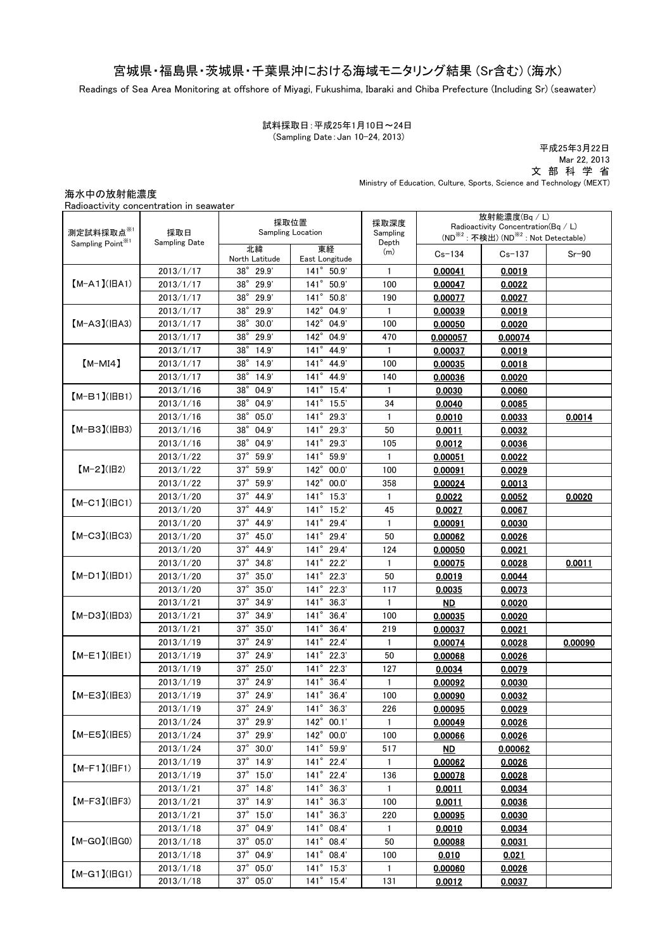## 宮城県・福島県・茨城県・千葉県沖における海域モニタリング結果 (Sr含む) (海水)

Readings of Sea Area Monitoring at offshore of Miyagi, Fukushima, Ibaraki and Chiba Prefecture (Including Sr) (seawater)

(Sampling Date:Jan 10-24, 2013) 試料採取日:平成25年1月10日~24日

平成25年3月22日 Mar 22, 2013 文 部 科 学 省 Ministry of Education, Culture, Sports, Science and Technology (MEXT)

海水中の放射能濃度

| Radioactivity concentration in seawater |  |
|-----------------------------------------|--|
|                                         |  |

|                                                                          |                                                                                                        | 採取位置<br>Sampling Location |                        | 採取深度<br>Sampling | 放射能濃度(Bq/L) |               |         |
|--------------------------------------------------------------------------|--------------------------------------------------------------------------------------------------------|---------------------------|------------------------|------------------|-------------|---------------|---------|
| 測定試料採取点※1<br>採取日<br>Sampling Point <sup>%1</sup><br><b>Sampling Date</b> | Radioactivity Concentration $(Bq / L)$<br>(ND <sup>※2</sup> : 不検出) (ND <sup>※2</sup> : Not Detectable) |                           |                        |                  |             |               |         |
|                                                                          | 北緯<br>North Latitude                                                                                   | 東経<br>East Longitude      | Depth<br>(m)           | $Cs - 134$       | $Cs - 137$  | $Sr-90$       |         |
|                                                                          | 2013/1/17                                                                                              | 38° 29.9'                 | $141^\circ$<br>50.9'   | $\mathbf{1}$     | 0.00041     | 0.0019        |         |
| $[M-A1](HA1)$                                                            | 2013/1/17                                                                                              | $38^\circ$<br>29.9'       | $141^\circ$<br>50.9'   | 100              | 0.00047     | 0.0022        |         |
|                                                                          | 2013/1/17                                                                                              | $38^\circ$<br>29.9'       | $141^\circ$<br>50.8'   | 190              | 0.00077     | 0.0027        |         |
|                                                                          | 2013/1/17                                                                                              | $38^\circ$<br>29.9'       | $142^\circ$<br>04.9'   | $\mathbf{1}$     | 0.00039     | 0.0019        |         |
| $[M-A3](HA3)$                                                            | 2013/1/17                                                                                              | $38^\circ$<br>30.0'       | $142^\circ$<br>04.9'   | 100              | 0.00050     | 0.0020        |         |
|                                                                          | 2013/1/17                                                                                              | $38^\circ$<br>29.9'       | $142^\circ$<br>04.9'   | 470              | 0.000057    | 0.00074       |         |
|                                                                          | 2013/1/17                                                                                              | $38^\circ$<br>14.9'       | $141^\circ$<br>44.9    | $\mathbf{1}$     | 0.00037     | <u>0.0019</u> |         |
| $[M-MI4]$                                                                | 2013/1/17                                                                                              | $38^\circ$<br>14.9'       | $141^\circ$<br>44.9    | 100              | 0.00035     | 0.0018        |         |
|                                                                          | 2013/1/17                                                                                              | $38^\circ$<br>14.9'       | $141^\circ$<br>44.9    | 140              | 0.00036     | 0.0020        |         |
|                                                                          | 2013/1/16                                                                                              | $38^\circ$<br>04.9'       | $141^\circ$<br>15.4'   | 1                | 0.0030      | 0.0060        |         |
| $(M-B1)(IBB1)$                                                           | 2013/1/16                                                                                              | $38^\circ$<br>04.9'       | $141^\circ$<br>15.5'   | 34               | 0.0040      | 0.0085        |         |
|                                                                          | 2013/1/16                                                                                              | $38^\circ$<br>05.0'       | $141^\circ$<br>29.3'   | 1                | 0.0010      | 0.0033        | 0.0014  |
| $[M-B3]$ ( $IBB3$ )                                                      | 2013/1/16                                                                                              | $38^\circ$<br>04.9'       | $141^{\circ}$<br>29.3' | 50               |             | 0.0032        |         |
|                                                                          |                                                                                                        | $38^\circ$<br>04.9'       | $141^\circ$<br>29.3'   |                  | 0.0011      |               |         |
|                                                                          | 2013/1/16                                                                                              |                           |                        | 105              | 0.0012      | 0.0036        |         |
|                                                                          | 2013/1/22                                                                                              | $37^\circ$<br>59.9'       | $141^\circ$<br>59.9'   | $\mathbf{1}$     | 0.00051     | 0.0022        |         |
| $[M-2](H2)$                                                              | 2013/1/22                                                                                              | $37^\circ$<br>59.9'       | $142^\circ$<br>00.0'   | 100              | 0.00091     | 0.0029        |         |
|                                                                          | 2013/1/22                                                                                              | $37^\circ$<br>59.9'       | $142^\circ$<br>00.0'   | 358              | 0.00024     | 0.0013        |         |
| $[M-C1]$ ( $ HC1$ )                                                      | 2013/1/20                                                                                              | $37^\circ$<br>44.9        | $141^\circ$<br>15.3'   | $\mathbf{1}$     | 0.0022      | 0.0052        | 0.0020  |
|                                                                          | 2013/1/20                                                                                              | $37^\circ$<br>44.9        | $141^\circ$<br>15.2'   | 45               | 0.0027      | 0.0067        |         |
|                                                                          | 2013/1/20                                                                                              | $37^\circ$<br>44.9        | $141^\circ$<br>29.4'   | $\mathbf{1}$     | 0.00091     | 0.0030        |         |
| $[M-C3](HC3)$<br>2013/1/20<br>2013/1/20                                  |                                                                                                        | $37^\circ$<br>45.0'       | $141^\circ$<br>29.4'   | 50               | 0.00062     | 0.0026        |         |
|                                                                          |                                                                                                        | $37^\circ$<br>44.9        | $141^\circ$<br>29.4'   | 124              | 0.00050     | 0.0021        |         |
|                                                                          | 2013/1/20                                                                                              | $37^\circ$<br>34.8'       | $141^\circ$<br>22.2'   | 1                | 0.00075     | 0.0028        | 0.0011  |
| $(M-D1)(HD1)$                                                            | 2013/1/20                                                                                              | $37^\circ$<br>35.0'       | $141^\circ$<br>22.3'   | 50               | 0.0019      | 0.0044        |         |
|                                                                          | 2013/1/20                                                                                              | $37^\circ$<br>35.0'       | $141^\circ$<br>22.3'   | 117              | 0.0035      | 0.0073        |         |
|                                                                          | 2013/1/21                                                                                              | $37^\circ$<br>34.9'       | $141^\circ$<br>36.3'   | $\mathbf{1}$     | ND          | 0.0020        |         |
| $[M-D3]$ ( $ HD3$ )                                                      | 2013/1/21                                                                                              | $37^\circ$<br>34.9'       | $141^\circ$<br>36.4'   | 100              | 0.00035     | 0.0020        |         |
|                                                                          | 2013/1/21                                                                                              | $37^\circ$<br>35.0'       | $141^\circ$<br>36.4'   | 219              | 0.00037     | 0.0021        |         |
|                                                                          | 2013/1/19                                                                                              | $37^\circ$<br>24.9'       | $141^\circ$<br>22.4'   | $\mathbf{1}$     | 0.00074     | 0.0028        | 0.00090 |
| $[M-E1]( HE1)$                                                           | 2013/1/19                                                                                              | $37^\circ$<br>24.9'       | $141^\circ$<br>22.3'   | 50               | 0.00068     | 0.0026        |         |
|                                                                          | 2013/1/19                                                                                              | $37^\circ$<br>25.0'       | $141^\circ$<br>22.3'   | 127              | 0.0034      | 0.0079        |         |
|                                                                          | 2013/1/19                                                                                              | $37^\circ$<br>24.9'       | $141^\circ$<br>36.4'   | 1                | 0.00092     | 0.0030        |         |
| $[M-E3](HE3)$                                                            | 2013/1/19                                                                                              | $37^\circ$<br>24.9'       | $141^\circ$<br>36.4'   | 100              | 0.00090     | 0.0032        |         |
|                                                                          | 2013/1/19                                                                                              | 37° 24.9'                 | $141^\circ$<br>36.3'   | 226              | 0.00095     | 0.0029        |         |
|                                                                          | 2013/1/24                                                                                              | $37^\circ$<br>29.9        | $142^{\circ}$ 00.1     | 1                | 0.00049     | 0.0026        |         |
| $[$ M-E5 $]$ ( $ $ BE5)<br>2013/1/24                                     |                                                                                                        | 37° 29.9'                 | 142° 00.0'             | 100              | 0.00066     | 0.0026        |         |
|                                                                          | 2013/1/24                                                                                              | 37° 30.0'                 | 141° 59.9'             | 517              | $MD$        | 0.00062       |         |
|                                                                          | 2013/1/19                                                                                              | 37° 14.9'                 | 141° 22.4'             | $\mathbf{1}$     | 0.00062     | 0.0026        |         |
| $(M-F1)(HF1)$                                                            | 2013/1/19                                                                                              | 37° 15.0'                 | 141° 22.4'             | 136              | 0.00078     | 0.0028        |         |
| $(M-F3)(HF3)$                                                            | 2013/1/21                                                                                              | 37° 14.8'                 | 141° 36.3'             | $\mathbf{1}$     | 0.0011      | 0.0034        |         |
|                                                                          | 2013/1/21                                                                                              | 37° 14.9'                 | 141° 36.3'             | 100              | 0.0011      | 0.0036        |         |
|                                                                          | 2013/1/21                                                                                              | 37° 15.0'                 | $141^{\circ}$ 36.3'    | 220              | 0.00095     | 0.0030        |         |
| $[M-GO](HGO)$                                                            | 2013/1/18                                                                                              | 37° 04.9'                 | 141° 08.4'             | 1                | 0.0010      | 0.0034        |         |
|                                                                          | 2013/1/18                                                                                              | $37^{\circ}$ 05.0'        | $141^{\circ}$ 08.4'    | 50               | 0.00088     | 0.0031        |         |
|                                                                          | 2013/1/18                                                                                              | 37° 04.9'                 | $141^{\circ}$ 08.4'    | 100              | 0.010       | 0.021         |         |
|                                                                          | 2013/1/18                                                                                              | 37° 05.0'                 | $141^{\circ}$ 15.3'    | $\mathbf{1}$     | 0.00060     | 0.0026        |         |
| $[M-G1](HG1)$                                                            | 2013/1/18                                                                                              | 37° 05.0'                 | 141° 15.4'             | 131              | 0.0012      | 0.0037        |         |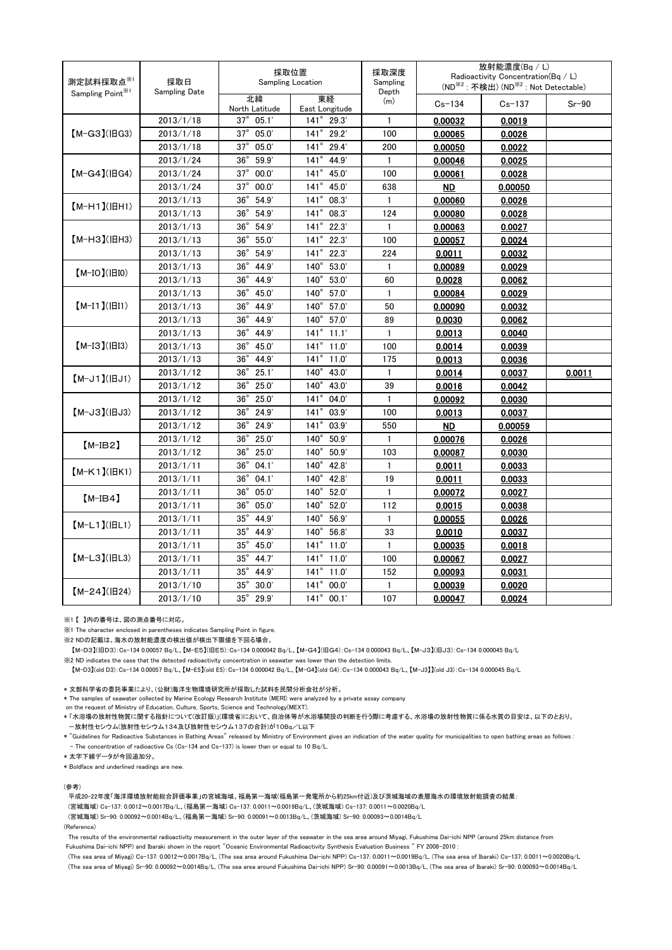| 測定試料採取点※1<br>Sampling Point <sup>361</sup> | 採取日<br><b>Sampling Date</b> |                       | 採取位置<br>採取深度<br><b>Sampling Location</b><br>Sampling<br>Depth |              |            | 放射能濃度(Bq / L)<br>Radioactivity Concentration(Bq / L)<br>(ND <sup>※2</sup> : 不検出) (ND <sup>※2</sup> : Not Detectable) |         |
|--------------------------------------------|-----------------------------|-----------------------|---------------------------------------------------------------|--------------|------------|----------------------------------------------------------------------------------------------------------------------|---------|
|                                            |                             | 北緯<br>North Latitude  | 東経<br>East Longitude                                          | (m)          | $Cs - 134$ | $Cs - 137$                                                                                                           | $Sr-90$ |
| $[M-G3]$ ( $ HG3$ )                        | 2013/1/18                   | $37^\circ$<br>05.1'   | $\overline{141}^{\circ}$ 29.3'                                | $\mathbf{1}$ | 0.00032    | 0.0019                                                                                                               |         |
|                                            | 2013/1/18                   | $37^\circ$<br>05.0'   | $141^\circ$<br>29.2'                                          | 100          | 0.00065    | 0.0026                                                                                                               |         |
|                                            | 2013/1/18                   | $37^\circ$<br>05.0'   | $141^\circ$<br>29.4'                                          | 200          | 0.00050    | 0.0022                                                                                                               |         |
|                                            | 2013/1/24                   | $36^\circ$<br>59.9'   | $141^\circ$<br>44.9'                                          | $\mathbf{1}$ | 0.00046    | 0.0025                                                                                                               |         |
| $[M-G4](HG4)$                              | 2013/1/24                   | $37^\circ$<br>00.0'   | $141^{\circ}$<br>45.0'                                        | 100          | 0.00061    | 0.0028                                                                                                               |         |
|                                            | 2013/1/24                   | $37^\circ$<br>00.0'   | $141^\circ$<br>45.0'                                          | 638          | <b>ND</b>  | 0.00050                                                                                                              |         |
| $(M-H1)(HH1)$                              | 2013/1/13                   | $36^\circ$<br>54.9'   | $141^\circ$<br>08.3                                           | 1            | 0.00060    | 0.0026                                                                                                               |         |
|                                            | 2013/1/13                   | $36^\circ$<br>54.9'   | $141^\circ$<br>08.3                                           | 124          | 0.00080    | 0.0028                                                                                                               |         |
|                                            | 2013/1/13                   | $36^\circ$<br>54.9'   | $141^\circ$<br>22.3'                                          | $\mathbf{1}$ | 0.00063    | 0.0027                                                                                                               |         |
| <b>(M-H3)(旧H3)</b>                         | 2013/1/13                   | $36^\circ$<br>55.0'   | $141^\circ$<br>22.3'                                          | 100          | 0.00057    | 0.0024                                                                                                               |         |
|                                            | 2013/1/13                   | $36^\circ$<br>54.9'   | $141^\circ$<br>22.3'                                          | 224          | 0.0011     | 0.0032                                                                                                               |         |
| $(M-IO)(III0)$                             | 2013/1/13                   | $36^\circ$<br>44.9    | 53.0'<br>$140^\circ$                                          | $\mathbf{1}$ | 0.00089    | 0.0029                                                                                                               |         |
|                                            | 2013/1/13                   | $36^{\circ}$<br>44.9  | $140^\circ$<br>53.0'                                          | 60           | 0.0028     | 0.0062                                                                                                               |         |
| $(M-11)(\vert \vert H1)$                   | 2013/1/13                   | $36^{\circ}$<br>45.0  | $140^\circ$<br>57.0'                                          | $\mathbf{1}$ | 0.00084    | 0.0029                                                                                                               |         |
|                                            | 2013/1/13                   | $36^\circ$<br>44.9    | 57.0'<br>$140^\circ$                                          | 50           | 0.00090    | 0.0032                                                                                                               |         |
|                                            | 2013/1/13                   | $36^{\circ}$<br>44.9  | $140^\circ$<br>57.0'                                          | 89           | 0.0030     | 0.0062                                                                                                               |         |
| $[M-I3](H13)$                              | 2013/1/13                   | $36^\circ$<br>44.9    | $141^{\circ}$<br>11.1'                                        | $\mathbf{1}$ | 0.0013     | 0.0040                                                                                                               |         |
|                                            | 2013/1/13                   | $36^\circ$<br>45.0    | $141^\circ$<br>11.0'                                          | 100          | 0.0014     | 0.0039                                                                                                               |         |
|                                            | 2013/1/13                   | $36^{\circ}$<br>44.9  | $141^\circ$<br>11.0'                                          | 175          | 0.0013     | 0.0036                                                                                                               |         |
| $(M-J1)(HJ1)$                              | 2013/1/12                   | $36^\circ$<br>25.1'   | $140^\circ$<br>43.0                                           | $\mathbf{1}$ | 0.0014     | 0.0037                                                                                                               | 0.0011  |
|                                            | 2013/1/12                   | $36^{\circ}$<br>25.0' | $140^\circ$<br>43.0'                                          | 39           | 0.0016     | 0.0042                                                                                                               |         |
|                                            | 2013/1/12                   | $36^\circ$<br>25.0'   | $141^\circ$<br>04.0'                                          | $\mathbf{1}$ | 0.00092    | 0.0030                                                                                                               |         |
| $[M-J3](HJ3)$                              | 2013/1/12                   | 24.9'<br>$36^{\circ}$ | 03.9'<br>$141^\circ$                                          | 100          | 0.0013     | 0.0037                                                                                                               |         |
|                                            | 2013/1/12                   | $36^{\circ}$<br>24.9' | $141^\circ$<br>03.9'                                          | 550          | <u>ND</u>  | 0.00059                                                                                                              |         |
| $[M-IB2]$                                  | 2013/1/12                   | $36^\circ$<br>25.0'   | $140^\circ$<br>50.9'                                          | $\mathbf{1}$ | 0.00076    | 0.0026                                                                                                               |         |
|                                            | 2013/1/12                   | 25.0'<br>$36^{\circ}$ | $140^\circ$<br>50.9'                                          | 103          | 0.00087    | 0.0030                                                                                                               |         |
| $(M-K1)(HK1)$                              | 2013/1/11                   | $36^\circ$<br>04.1'   | $140^\circ$<br>42.8                                           | $\mathbf{1}$ | 0.0011     | 0.0033                                                                                                               |         |
|                                            | 2013/1/11                   | $36^\circ$<br>04.1'   | $140^\circ$<br>42.8'                                          | 19           | 0.0011     | 0.0033                                                                                                               |         |
| $[M-IB4]$                                  | 2013/1/11                   | $36^{\circ}$<br>05.0  | $140^\circ$<br>52.0                                           | 1            | 0.00072    | 0.0027                                                                                                               |         |
|                                            | 2013/1/11                   | $36^\circ$<br>05.0'   | $140^\circ$<br>52.0                                           | 112          | 0.0015     | 0.0038                                                                                                               |         |
| $(M-L1)(HLI)$                              | 2013/1/11                   | $35^\circ$<br>44.9    | $140^\circ$<br>56.9'                                          | $\mathbf{1}$ | 0.00055    | 0.0026                                                                                                               |         |
|                                            | 2013/1/11                   | $35^\circ$<br>44.9    | 56.8'<br>$140^\circ$                                          | 33           | 0.0010     | 0.0037                                                                                                               |         |
| $[M-L3](HL3)$                              | 2013/1/11                   | $35^\circ$<br>45.0'   | $141^\circ$<br>11.0'                                          | $\mathbf{1}$ | 0.00035    | 0.0018                                                                                                               |         |
|                                            | 2013/1/11                   | $35^\circ$<br>44.7'   | $141^\circ$<br>11.0'                                          | 100          | 0.00067    | 0.0027                                                                                                               |         |
|                                            | 2013/1/11                   | $35^\circ$<br>44.9    | $141^{\circ}$<br>11.0'                                        | 152          | 0.00093    | 0.0031                                                                                                               |         |
| $[M-24](H24)$                              | 2013/1/10                   | $35^\circ$<br>30.0'   | $141^\circ$<br>00.0'                                          | $\mathbf{1}$ | 0.00039    | 0.0020                                                                                                               |         |
|                                            | 2013/1/10                   | $35^\circ$<br>29.9'   | 141° 00.1'                                                    | 107          | 0.00047    | 0.0024                                                                                                               |         |

※1 【 】内の番号は、図の測点番号に対応。

※1 The character enclosed in parentheses indicates Sampling Point in figure.

※2 NDの記載は、海水の放射能濃度の検出値が検出下限値を下回る場合。

【M-D3】(旧D3):Cs-134 0.00057 Bq/L、【M-E5】(旧E5):Cs-134 0.000042 Bq/L、【M-G4】(旧G4):Cs-134 0.000043 Bq/L、【M-J3】(旧J3):Cs-134 0.000045 Bq/L ※2 ND indicates the case that the detected radioactivity concentration in seawater was lower than the detection limits.

【M-D3】(old D3):Cs-134 0.00057 Bq/L、【M-E5】(old E5):Cs-134 0.000042 Bq/L、【M-G4】(old G4):Cs-134 0.000043 Bq/L、【M-J3】】(old J3):Cs-134 0.000045 Bq/L

\* 文部科学省の委託事業により、(公財)海洋生物環境研究所が採取した試料を民間分析会社が分析。

\* The samples of seawater collected by Marine Ecology Research Institute (MERI) were analyzed by a private assay company

on the request of Ministry of Education, Culture, Sports, Science and Technology(MEXT).

\* 「水浴場の放射性物質に関する指針について(改訂版)」(環境省)において、自治体等が水浴場開設の判断を行う際に考慮する、水浴場の放射性物質に係る水質の目安は、以下のとおり。 -放射性セシウム(放射性セシウム134及び放射性セシウム137の合計)が10Bq/L以下

\* "Guidelines for Radioactive Substances in Bathing Areas" released by Ministry of Environment gives an indication of the water quality for municipalities to open bathing areas as follows : - The concentration of radioactive Cs (Cs-134 and Cs-137) is lower than or equal to 10 Bq/L.

\* 太字下線データが今回追加分。

\* Boldface and underlined readings are new.

(参考)

平成20-22年度「海洋環境放射能総合評価事業」の宮城海域、福島第一海域(福島第一発電所から約25km付近)及び茨城海域の表層海水の環境放射能調査の結果:

(宮城海域) Cs-137: 0.0012~0.0017Bq/L、(福島第一海域) Cs-137: 0.0011~0.0019Bq/L、(茨城海域) Cs-137: 0.0011~0.0020Bq/L

(宮城海域) Sr-90: 0.00092~0.0014Bq/L、(福島第一海域) Sr-90: 0.00091~0.0013Bq/L、(茨城海域) Sr-90: 0.00093~0.0014Bq/L

(Reference)

Fukushima Dai-ichi NPP) and Ibaraki shown in the report "Oceanic Environmental Radioactivity Synthesis Evaluation Business " FY 2008-2010 :

The results of the environmental radioactivity measurement in the outer layer of the seawater in the sea area around Miyagi, Fukushima Dai-ichi NPP (around 25km distance from

<sup>(</sup>The sea area of Miyagi) Cs-137: 0.0012~0.0017Bq/L, (The sea area around Fukushima Dai-ichi NPP) Cs-137: 0.0011~0.0019Bq/L, (The sea area of Ibaraki) Cs-137: 0.0011~0.0020Bq/L (The sea area of Miyagi) Sr-90: 0.00092~0.0014Bq/L, (The sea area around Fukushima Dai-ichi NPP) Sr-90: 0.00091~0.0013Bq/L, (The sea area of Ibaraki) Sr-90: 0.00093~0.0014Bq/L